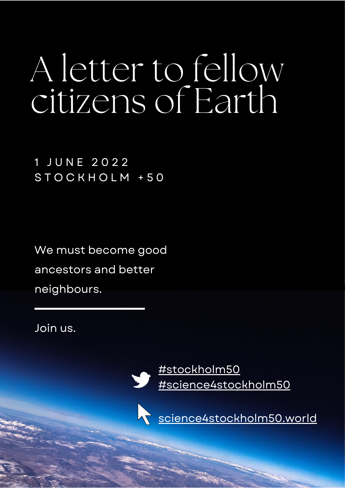# A letter to fellow citizens of Earth

1 J U N E 2 0 2 2 S T O C K H O L M + 5 0

We must become good ancestors and better neighbours.

Join us.

[#stockholm50](http://twitter.com/intent/tweet?text=I%E2%80%99m%20supporting%20the%20urgent%20call%20from%20science%20to%20become%20good%20ancestors%20and%20better%20neighbours.%20%23stockholm50%20%23science4stockholm50%20%40ISC%20%40FutureEarth%20%40SEIresearch%20%20https%3A%2F%2Fscience4stockholm50.world%2F%E2%80%8B) [#science4stockholm50](http://twitter.com/intent/tweet?text=I%E2%80%99m%20supporting%20the%20urgent%20call%20from%20science%20to%20become%20good%20ancestors%20and%20better%20neighbours.%20%23stockholm50%20%23science4stockholm50%20%40ISC%20%40FutureEarth%20%40SEIresearch%20%20https%3A%2F%2Fscience4stockholm50.world%2F%E2%80%8B)

[science4stockholm50.world](https://science4stockholm50.world/)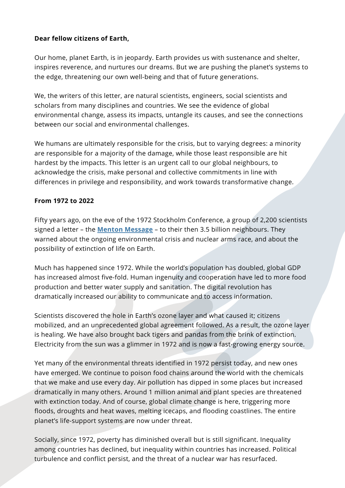# **Dear fellow citizens of Earth,**

Our home, planet Earth, is in jeopardy. Earth provides us with sustenance and shelter, inspires reverence, and nurtures our dreams. But we are pushing the planet's systems to the edge, threatening our own well-being and that of future generations.

We, the writers of this letter, are natural scientists, engineers, social scientists and scholars from many disciplines and countries. We see the evidence of global environmental change, assess its impacts, untangle its causes, and see the connections between our social and environmental challenges.

We humans are ultimately responsible for the crisis, but to varying degrees: a minority are responsible for a majority of the damage, while those least responsible are hit hardest by the impacts. This letter is an urgent call to our global neighbours, to acknowledge the crisis, make personal and collective commitments in line with differences in privilege and responsibility, and work towards transformative change.

## **From 1972 to 2022**

Fifty years ago, on the eve of the 1972 Stockholm Conference, a group of 2,200 scientists signed a [letter](https://unesdoc.unesco.org/in/documentViewer.xhtml?v=2.1.196&id=p::usmarcdef_0000078269&file=/in/rest/annotationSVC/DownloadWatermarkedAttachment/attach_import_4f6de617-b7fa-41cf-b04e-2a8d851f79a2%3F_%3D078269engo.pdf&locale=en&multi=true&ark=/ark:/48223/pf0000078269/PDF/078269engo.pdf#%5B%7B%22num%22%3A32%2C%22gen%22%3A0%7D%2C%7B%22name%22%3A%22XYZ%22%7D%2Cnull%2Cnull%2C0%5D) – the **Menton [Message](https://unesdoc.unesco.org/in/documentViewer.xhtml?v=2.1.196&id=p::usmarcdef_0000078269&file=/in/rest/annotationSVC/DownloadWatermarkedAttachment/attach_import_4f6de617-b7fa-41cf-b04e-2a8d851f79a2%3F_%3D078269engo.pdf&locale=en&multi=true&ark=/ark:/48223/pf0000078269/PDF/078269engo.pdf#%5B%7B%22num%22%3A32%2C%22gen%22%3A0%7D%2C%7B%22name%22%3A%22XYZ%22%7D%2Cnull%2Cnull%2C0%5D)** – to their then 3.5 billion neighbours. They warned about the ongoing environmental crisis and nuclear arms race, and about the possibility of extinction of life on Earth.

Much has happened since 1972. While the world's population has doubled, global GDP has increased almost five-fold. Human ingenuity and cooperation have led to more food production and better water supply and sanitation. The digital revolution has dramatically increased our ability to communicate and to access information.

Scientists discovered the hole in Earth's ozone layer and what caused it; citizens mobilized, and an unprecedented global agreement followed. As a result, the ozone layer is healing. We have also brought back tigers and pandas from the brink of extinction. Electricity from the sun was a glimmer in 1972 and is now a fast-growing energy source.

Yet many of the environmental threats identified in 1972 persist today, and new ones have emerged. We continue to poison food chains around the world with the chemicals that we make and use every day. Air pollution has dipped in some places but increased dramatically in many others. Around 1 million animal and plant species are threatened with extinction today. And of course, global climate change is here, triggering more floods, droughts and heat waves, melting icecaps, and flooding coastlines. The entire planet's life-support systems are now under threat.

Socially, since 1972, poverty has diminished overall but is still significant. Inequality among countries has declined, but inequality within countries has increased. Political turbulence and conflict persist, and the threat of a nuclear war has resurfaced.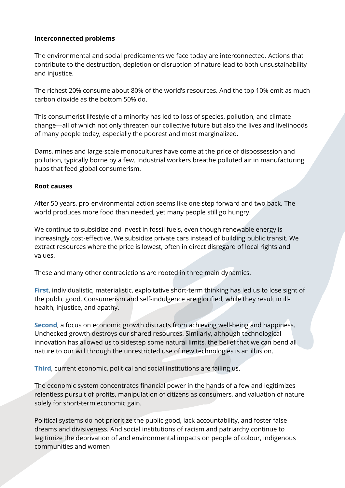#### **Interconnected problems**

The environmental and social predicaments we face today are interconnected. Actions that contribute to the destruction, depletion or disruption of nature lead to both unsustainability and injustice.

The richest 20% consume about 80% of the world's resources. And the top 10% emit as much carbon dioxide as the bottom 50% do.

This consumerist lifestyle of a minority has led to loss of species, pollution, and climate change—all of which not only threaten our collective future but also the lives and livelihoods of many people today, especially the poorest and most marginalized.

Dams, mines and large-scale monocultures have come at the price of dispossession and pollution, typically borne by a few. Industrial workers breathe polluted air in manufacturing hubs that feed global consumerism.

#### **Root causes**

After 50 years, pro-environmental action seems like one step forward and two back. The world produces more food than needed, yet many people still go hungry.

We continue to subsidize and invest in fossil fuels, even though renewable energy is increasingly cost-effective. We subsidize private cars instead of building public transit. We extract resources where the price is lowest, often in direct disregard of local rights and values.

These and many other contradictions are rooted in three main dynamics.

**First**, individualistic, materialistic, exploitative short-term thinking has led us to lose sight of the public good. Consumerism and self-indulgence are glorified, while they result in illhealth, injustice, and apathy.

**Second**, a focus on economic growth distracts from achieving well-being and happiness. Unchecked growth destroys our shared resources. Similarly, although technological innovation has allowed us to sidestep some natural limits, the belief that we can bend all nature to our will through the unrestricted use of new technologies is an illusion.

**Third**, current economic, political and social institutions are failing us.

The economic system concentrates financial power in the hands of a few and legitimizes relentless pursuit of profits, manipulation of citizens as consumers, and valuation of nature solely for short-term economic gain.

Political systems do not prioritize the public good, lack accountability, and foster false dreams and divisiveness. And social institutions of racism and patriarchy continue to legitimize the deprivation of and environmental impacts on people of colour, indigenous communities and women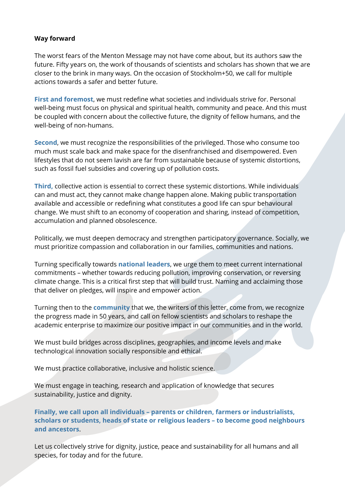## **Way forward**

The worst fears of the Menton Message may not have come about, but its authors saw the future. Fifty years on, the work of thousands of scientists and scholars has shown that we are closer to the brink in many ways. On the occasion of Stockholm+50, we call for multiple actions towards a safer and better future.

**First and foremost**, we must redefine what societies and individuals strive for. Personal well-being must focus on physical and spiritual health, community and peace. And this must be coupled with concern about the collective future, the dignity of fellow humans, and the well-being of non-humans.

**Second**, we must recognize the responsibilities of the privileged. Those who consume too much must scale back and make space for the disenfranchised and disempowered. Even lifestyles that do not seem lavish are far from sustainable because of systemic distortions, such as fossil fuel subsidies and covering up of pollution costs.

**Third,** collective action is essential to correct these systemic distortions. While individuals can and must act, they cannot make change happen alone. Making public transportation available and accessible or redefining what constitutes a good life can spur behavioural change. We must shift to an economy of cooperation and sharing, instead of competition, accumulation and planned obsolescence.

Politically, we must deepen democracy and strengthen participatory governance. Socially, we must prioritize compassion and collaboration in our families, communities and nations.

Turning specifically towards **national leaders**, we urge them to meet current international commitments – whether towards reducing pollution, improving conservation, or reversing climate change. This is a critical first step that will build trust. Naming and acclaiming those that deliver on pledges, will inspire and empower action.

Turning then to the **community** that we, the writers of this letter, come from, we recognize the progress made in 50 years, and call on fellow scientists and scholars to reshape the academic enterprise to maximize our positive impact in our communities and in the world.

We must build bridges across disciplines, geographies, and income levels and make technological innovation socially responsible and ethical.

We must practice collaborative, inclusive and holistic science.

We must engage in teaching, research and application of knowledge that secures sustainability, justice and dignity.

**Finally, we call upon all individuals – parents or children, farmers or industrialists, scholars or students, heads of state or religious leaders – to become good neighbours and ancestors**.

Let us collectively strive for dignity, justice, peace and sustainability for all humans and all species, for today and for the future.